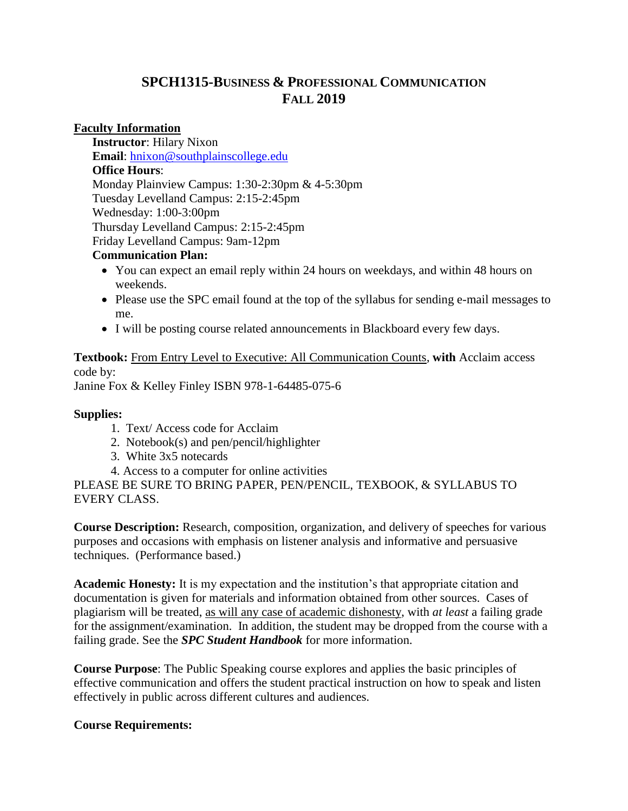# **SPCH1315-BUSINESS & PROFESSIONAL COMMUNICATION FALL 2019**

### **Faculty Information**

**Instructor**: Hilary Nixon **Email**: [hnixon@southplainscollege.edu](mailto:hnixon@southplainscollege.edu)  **Office Hours**: Monday Plainview Campus: 1:30-2:30pm & 4-5:30pm Tuesday Levelland Campus: 2:15-2:45pm Wednesday: 1:00-3:00pm Thursday Levelland Campus: 2:15-2:45pm Friday Levelland Campus: 9am-12pm

### **Communication Plan:**

- You can expect an email reply within 24 hours on weekdays, and within 48 hours on weekends.
- Please use the SPC email found at the top of the syllabus for sending e-mail messages to me.
- I will be posting course related announcements in Blackboard every few days.

**Textbook:** From Entry Level to Executive: All Communication Counts, **with** Acclaim access code by: Janine Fox & Kelley Finley ISBN 978-1-64485-075-6

#### **Supplies:**

- 1. Text/ Access code for Acclaim
- 2. Notebook(s) and pen/pencil/highlighter
- 3. White 3x5 notecards
- 4. Access to a computer for online activities

PLEASE BE SURE TO BRING PAPER, PEN/PENCIL, TEXBOOK, & SYLLABUS TO EVERY CLASS.

**Course Description:** Research, composition, organization, and delivery of speeches for various purposes and occasions with emphasis on listener analysis and informative and persuasive techniques. (Performance based.)

**Academic Honesty:** It is my expectation and the institution's that appropriate citation and documentation is given for materials and information obtained from other sources. Cases of plagiarism will be treated, as will any case of academic dishonesty, with *at least* a failing grade for the assignment/examination. In addition, the student may be dropped from the course with a failing grade. See the *SPC Student Handbook* for more information.

**Course Purpose**: The Public Speaking course explores and applies the basic principles of effective communication and offers the student practical instruction on how to speak and listen effectively in public across different cultures and audiences.

# **Course Requirements:**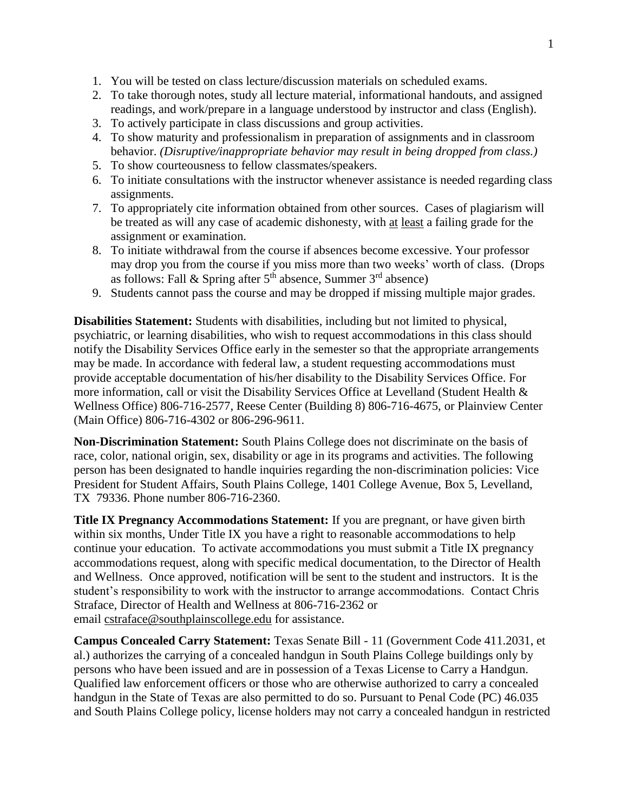- 1. You will be tested on class lecture/discussion materials on scheduled exams.
- 2. To take thorough notes, study all lecture material, informational handouts, and assigned readings, and work/prepare in a language understood by instructor and class (English).
- 3. To actively participate in class discussions and group activities.
- 4. To show maturity and professionalism in preparation of assignments and in classroom behavior. *(Disruptive/inappropriate behavior may result in being dropped from class.)*
- 5. To show courteousness to fellow classmates/speakers.
- 6. To initiate consultations with the instructor whenever assistance is needed regarding class assignments.
- 7. To appropriately cite information obtained from other sources. Cases of plagiarism will be treated as will any case of academic dishonesty, with at least a failing grade for the assignment or examination.
- 8. To initiate withdrawal from the course if absences become excessive. Your professor may drop you from the course if you miss more than two weeks' worth of class. (Drops as follows: Fall & Spring after  $5<sup>th</sup>$  absence, Summer  $3<sup>rd</sup>$  absence)
- 9. Students cannot pass the course and may be dropped if missing multiple major grades.

**Disabilities Statement:** Students with disabilities, including but not limited to physical, psychiatric, or learning disabilities, who wish to request accommodations in this class should notify the Disability Services Office early in the semester so that the appropriate arrangements may be made. In accordance with federal law, a student requesting accommodations must provide acceptable documentation of his/her disability to the Disability Services Office. For more information, call or visit the Disability Services Office at Levelland (Student Health & Wellness Office) 806-716-2577, Reese Center (Building 8) 806-716-4675, or Plainview Center (Main Office) 806-716-4302 or 806-296-9611.

**Non-Discrimination Statement:** South Plains College does not discriminate on the basis of race, color, national origin, sex, disability or age in its programs and activities. The following person has been designated to handle inquiries regarding the non-discrimination policies: Vice President for Student Affairs, South Plains College, 1401 College Avenue, Box 5, Levelland, TX 79336. Phone number 806-716-2360.

**Title IX Pregnancy Accommodations Statement:** If you are pregnant, or have given birth within six months, Under Title IX you have a right to reasonable accommodations to help continue your education. To activate accommodations you must submit a Title IX pregnancy accommodations request, along with specific medical documentation, to the Director of Health and Wellness. Once approved, notification will be sent to the student and instructors. It is the student's responsibility to work with the instructor to arrange accommodations. Contact Chris Straface, Director of Health and Wellness at 806-716-2362 or email [cstraface@southplainscollege.edu](mailto:cstraface@southplainscollege.edu) for assistance.

**Campus Concealed Carry Statement:** Texas Senate Bill - 11 (Government Code 411.2031, et al.) authorizes the carrying of a concealed handgun in South Plains College buildings only by persons who have been issued and are in possession of a Texas License to Carry a Handgun. Qualified law enforcement officers or those who are otherwise authorized to carry a concealed handgun in the State of Texas are also permitted to do so. Pursuant to Penal Code (PC) 46.035 and South Plains College policy, license holders may not carry a concealed handgun in restricted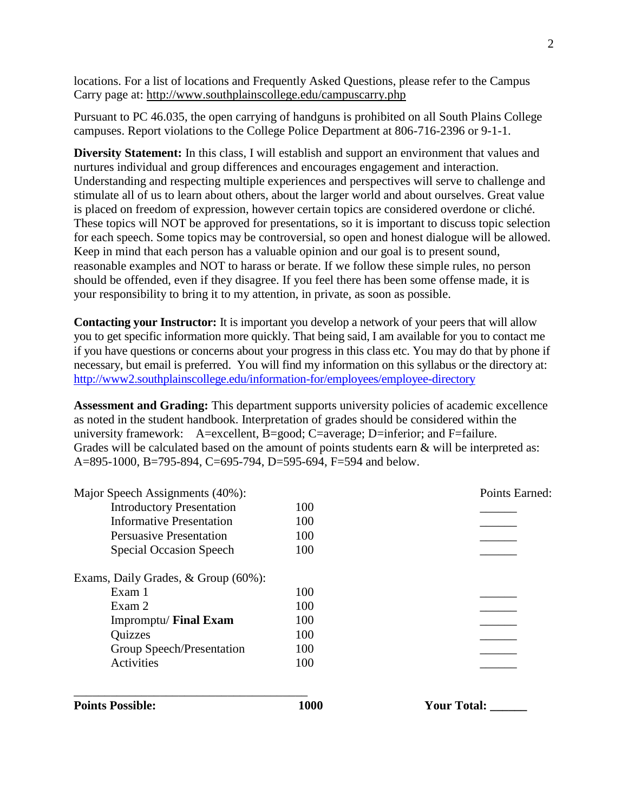locations. For a list of locations and Frequently Asked Questions, please refer to the Campus Carry page at: <http://www.southplainscollege.edu/campuscarry.php>

Pursuant to PC 46.035, the open carrying of handguns is prohibited on all South Plains College campuses. Report violations to the College Police Department at 806-716-2396 or 9-1-1.

**Diversity Statement:** In this class, I will establish and support an environment that values and nurtures individual and group differences and encourages engagement and interaction. Understanding and respecting multiple experiences and perspectives will serve to challenge and stimulate all of us to learn about others, about the larger world and about ourselves. Great value is placed on freedom of expression, however certain topics are considered overdone or cliché. These topics will NOT be approved for presentations, so it is important to discuss topic selection for each speech. Some topics may be controversial, so open and honest dialogue will be allowed. Keep in mind that each person has a valuable opinion and our goal is to present sound, reasonable examples and NOT to harass or berate. If we follow these simple rules, no person should be offended, even if they disagree. If you feel there has been some offense made, it is your responsibility to bring it to my attention, in private, as soon as possible.

**Contacting your Instructor:** It is important you develop a network of your peers that will allow you to get specific information more quickly. That being said, I am available for you to contact me if you have questions or concerns about your progress in this class etc. You may do that by phone if necessary, but email is preferred. You will find my information on this syllabus or the directory at: <http://www2.southplainscollege.edu/information-for/employees/employee-directory>

**Assessment and Grading:** This department supports university policies of academic excellence as noted in the student handbook. Interpretation of grades should be considered within the university framework: A=excellent, B=good; C=average; D=inferior; and F=failure. Grades will be calculated based on the amount of points students earn  $\&$  will be interpreted as: A=895-1000, B=795-894, C=695-794, D=595-694, F=594 and below.

| <b>Points Possible:</b>             | 1000 | <b>Your Total:</b> |
|-------------------------------------|------|--------------------|
|                                     |      |                    |
| Activities                          | 100  |                    |
| Group Speech/Presentation           | 100  |                    |
| <b>Quizzes</b>                      | 100  |                    |
| Impromptu/ Final Exam               | 100  |                    |
| Exam 2                              | 100  |                    |
| Exam 1                              | 100  |                    |
| Exams, Daily Grades, & Group (60%): |      |                    |
| <b>Special Occasion Speech</b>      | 100  |                    |
| <b>Persuasive Presentation</b>      | 100  |                    |
| Informative Presentation            | 100  |                    |
| <b>Introductory Presentation</b>    | 100  |                    |
| Major Speech Assignments (40%):     |      | Points Earned:     |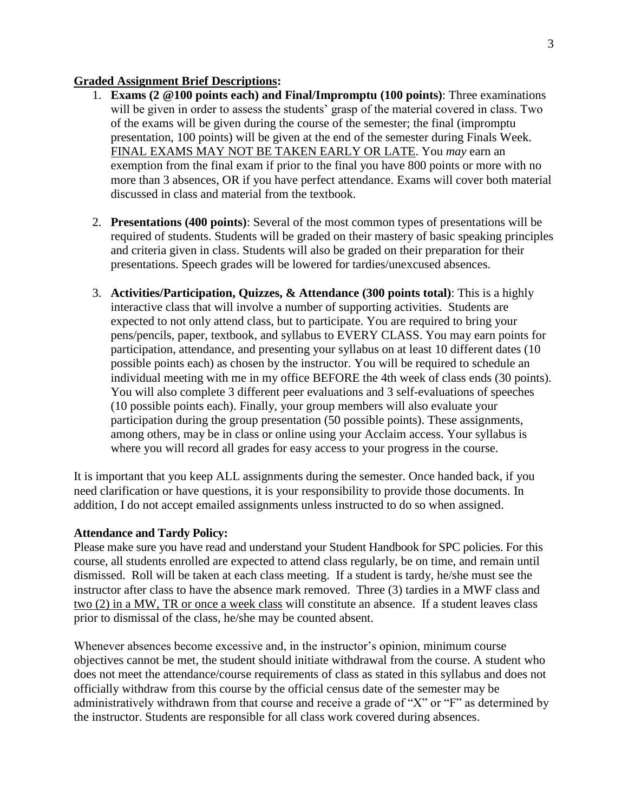#### **Graded Assignment Brief Descriptions:**

- 1. **Exams (2 @100 points each) and Final/Impromptu (100 points)**: Three examinations will be given in order to assess the students' grasp of the material covered in class. Two of the exams will be given during the course of the semester; the final (impromptu presentation, 100 points) will be given at the end of the semester during Finals Week. FINAL EXAMS MAY NOT BE TAKEN EARLY OR LATE. You *may* earn an exemption from the final exam if prior to the final you have 800 points or more with no more than 3 absences, OR if you have perfect attendance. Exams will cover both material discussed in class and material from the textbook.
- 2. **Presentations (400 points)**: Several of the most common types of presentations will be required of students. Students will be graded on their mastery of basic speaking principles and criteria given in class. Students will also be graded on their preparation for their presentations. Speech grades will be lowered for tardies/unexcused absences.
- 3. **Activities/Participation, Quizzes, & Attendance (300 points total)**: This is a highly interactive class that will involve a number of supporting activities. Students are expected to not only attend class, but to participate. You are required to bring your pens/pencils, paper, textbook, and syllabus to EVERY CLASS. You may earn points for participation, attendance, and presenting your syllabus on at least 10 different dates (10 possible points each) as chosen by the instructor. You will be required to schedule an individual meeting with me in my office BEFORE the 4th week of class ends (30 points). You will also complete 3 different peer evaluations and 3 self-evaluations of speeches (10 possible points each). Finally, your group members will also evaluate your participation during the group presentation (50 possible points). These assignments, among others, may be in class or online using your Acclaim access. Your syllabus is where you will record all grades for easy access to your progress in the course.

It is important that you keep ALL assignments during the semester. Once handed back, if you need clarification or have questions, it is your responsibility to provide those documents. In addition, I do not accept emailed assignments unless instructed to do so when assigned.

#### **Attendance and Tardy Policy:**

Please make sure you have read and understand your Student Handbook for SPC policies. For this course, all students enrolled are expected to attend class regularly, be on time, and remain until dismissed. Roll will be taken at each class meeting. If a student is tardy, he/she must see the instructor after class to have the absence mark removed. Three (3) tardies in a MWF class and two (2) in a MW, TR or once a week class will constitute an absence. If a student leaves class prior to dismissal of the class, he/she may be counted absent.

Whenever absences become excessive and, in the instructor's opinion, minimum course objectives cannot be met, the student should initiate withdrawal from the course. A student who does not meet the attendance/course requirements of class as stated in this syllabus and does not officially withdraw from this course by the official census date of the semester may be administratively withdrawn from that course and receive a grade of "X" or "F" as determined by the instructor. Students are responsible for all class work covered during absences.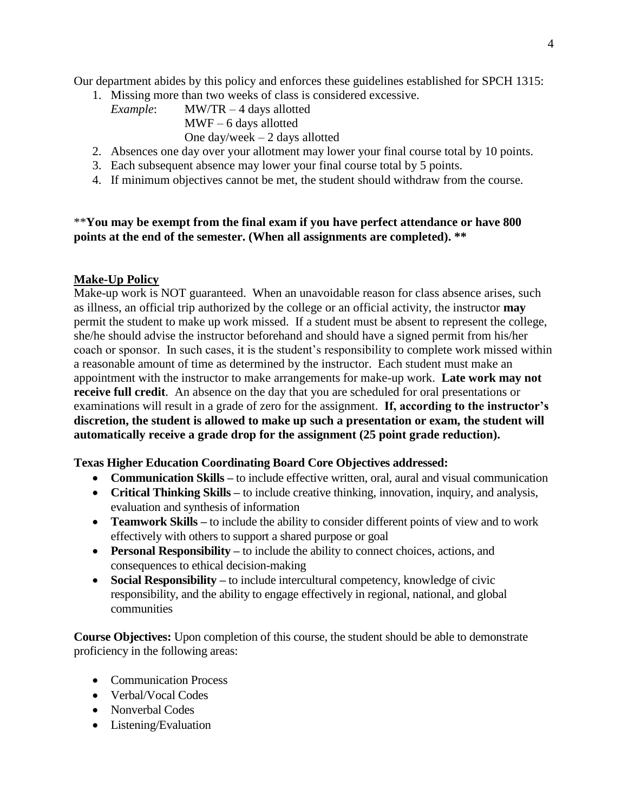Our department abides by this policy and enforces these guidelines established for SPCH 1315:

- 1. Missing more than two weeks of class is considered excessive.
	- *Example*: MW/TR 4 days allotted MWF – 6 days allotted One day/week – 2 days allotted
- 2. Absences one day over your allotment may lower your final course total by 10 points.
- 3. Each subsequent absence may lower your final course total by 5 points.
- 4. If minimum objectives cannot be met, the student should withdraw from the course.

# \*\***You may be exempt from the final exam if you have perfect attendance or have 800 points at the end of the semester. (When all assignments are completed). \*\***

# **Make-Up Policy**

Make-up work is NOT guaranteed. When an unavoidable reason for class absence arises, such as illness, an official trip authorized by the college or an official activity, the instructor **may** permit the student to make up work missed. If a student must be absent to represent the college, she/he should advise the instructor beforehand and should have a signed permit from his/her coach or sponsor. In such cases, it is the student's responsibility to complete work missed within a reasonable amount of time as determined by the instructor. Each student must make an appointment with the instructor to make arrangements for make-up work. **Late work may not receive full credit**. An absence on the day that you are scheduled for oral presentations or examinations will result in a grade of zero for the assignment. **If, according to the instructor's discretion, the student is allowed to make up such a presentation or exam, the student will automatically receive a grade drop for the assignment (25 point grade reduction).**

#### **Texas Higher Education Coordinating Board Core Objectives addressed:**

- **Communication Skills –** to include effective written, oral, aural and visual communication
- **Critical Thinking Skills** to include creative thinking, innovation, inquiry, and analysis, evaluation and synthesis of information
- **Teamwork Skills –** to include the ability to consider different points of view and to work effectively with others to support a shared purpose or goal
- **Personal Responsibility –** to include the ability to connect choices, actions, and consequences to ethical decision-making
- **Social Responsibility** to include intercultural competency, knowledge of civic responsibility, and the ability to engage effectively in regional, national, and global communities

**Course Objectives:** Upon completion of this course, the student should be able to demonstrate proficiency in the following areas:

- Communication Process
- Verbal/Vocal Codes
- Nonverbal Codes
- Listening/Evaluation